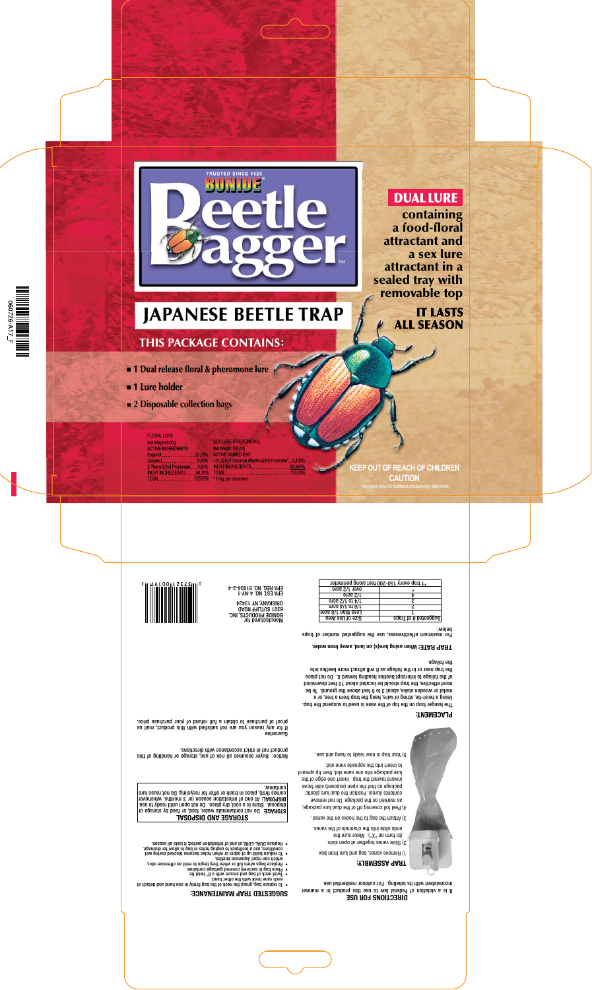

## **DUAL LURE**

containing <sup>a</sup> food-floral attractant and <sup>a</sup> sex lure attractant in <sup>a</sup> sealed tray with removable top

## **IT LASTS ALL SEASON**

# **JAPANESE BEETLE TRAP**

## **THIS PACKAGE CONTAINS:**

- $\blacksquare$  1 Dual release floral & pheromone lure
- **1 Lure holder**
- **2 Disposable collection bags**

**FLORAL LURE** 

Net Weight 8,00g **ACTIVE INGREDIENTS** Eugenol.................22.25% Geraniol....................9.50% 2-Phenyl Ethyl Propionate . . . 9.50% INERT INGREDIENTS . . . . 58.75%  **SEX LURE (PHEROMONE)** Net Weight 750 mg **ACTIVE INGREDIENT** 1(R,Z) 5-(1-Decenyl) dihydro-2(3H) Furanone\*. . 0.133% INERT INGREDIENTS............. \*1 mg, per dispenser

**KEEP OUT OF REACH OF CHILDREN CAUTION**

(See back panel for additional precautionary statements)